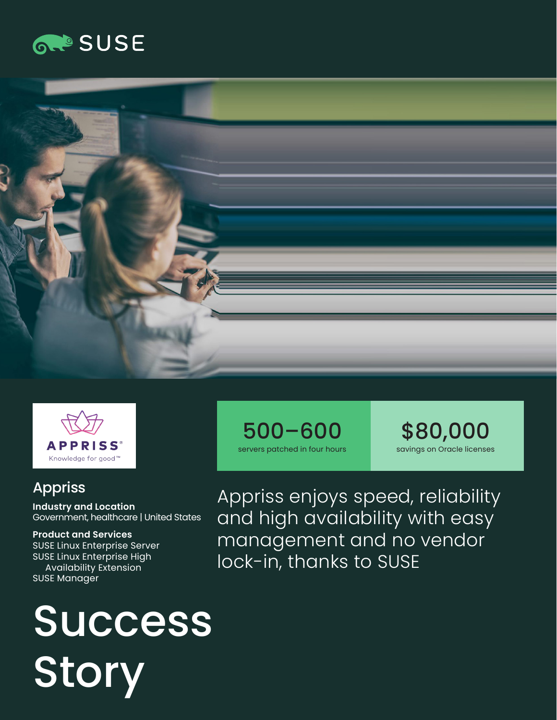





### Appriss

**Industry and Location**  Government, healthcare | United States

**Product and Services**  SUSE Linux Enterprise Server SUSE Linux Enterprise High Availability Extension SUSE Manager

# **Success** Story





Appriss enjoys speed, reliability and high availability with easy management and no vendor lock-in, thanks to SUSE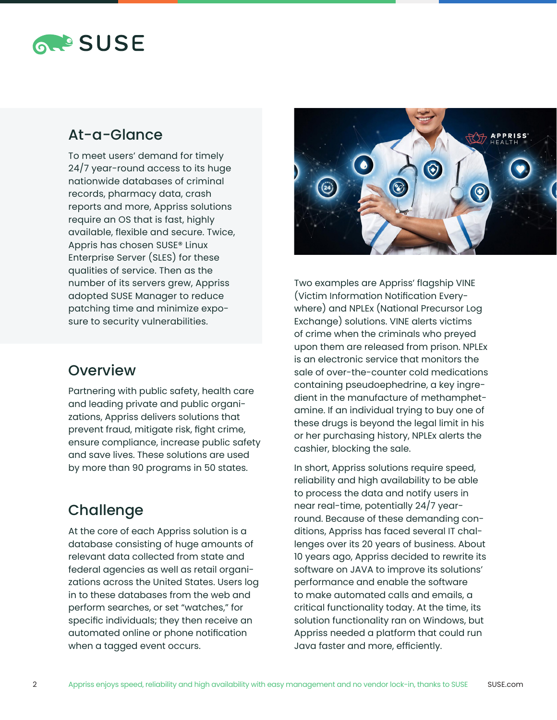## **RAPSUSE**

#### At-a-Glance

To meet users' demand for timely 24/7 year-round access to its huge nationwide databases of criminal records, pharmacy data, crash reports and more, Appriss solutions require an OS that is fast, highly available, flexible and secure. Twice, Appris has chosen SUSE® Linux Enterprise Server (SLES) for these qualities of service. Then as the number of its servers grew, Appriss adopted SUSE Manager to reduce patching time and minimize exposure to security vulnerabilities.

#### **Overview**

Partnering with public safety, health care and leading private and public organizations, Appriss delivers solutions that prevent fraud, mitigate risk, fight crime, ensure compliance, increase public safety and save lives. These solutions are used by more than 90 programs in 50 states.

#### **Challenge**

At the core of each Appriss solution is a database consisting of huge amounts of relevant data collected from state and federal agencies as well as retail organizations across the United States. Users log in to these databases from the web and perform searches, or set "watches," for specific individuals; they then receive an automated online or phone notification when a tagged event occurs.



Two examples are Appriss' flagship VINE (Victim Information Notification Everywhere) and NPLEx (National Precursor Log Exchange) solutions. VINE alerts victims of crime when the criminals who preyed upon them are released from prison. NPLEx is an electronic service that monitors the sale of over-the-counter cold medications containing pseudoephedrine, a key ingredient in the manufacture of methamphetamine. If an individual trying to buy one of these drugs is beyond the legal limit in his or her purchasing history, NPLEx alerts the cashier, blocking the sale.

In short, Appriss solutions require speed, reliability and high availability to be able to process the data and notify users in near real-time, potentially 24/7 yearround. Because of these demanding conditions, Appriss has faced several IT challenges over its 20 years of business. About 10 years ago, Appriss decided to rewrite its software on JAVA to improve its solutions' performance and enable the software to make automated calls and emails, a critical functionality today. At the time, its solution functionality ran on Windows, but Appriss needed a platform that could run Java faster and more, efficiently.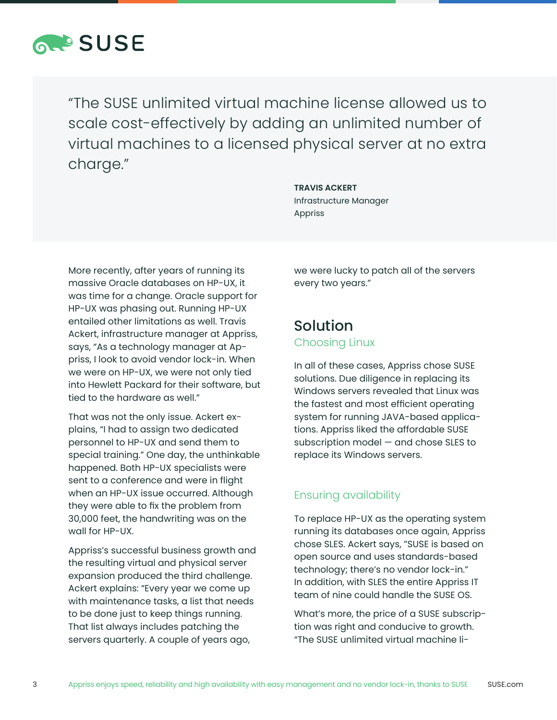

"The SUSE unlimited virtual machine license allowed us to scale cost-effectively by adding an unlimited number of virtual machines to a licensed physical server at no extra charge."

> **TRAVIS ACKERT** Infrastructure Manager Appriss

More recently, after years of running its massive Oracle databases on HP-UX, it was time for a change. Oracle support for HP-UX was phasing out. Running HP-UX entailed other limitations as well. Travis Ackert, infrastructure manager at Appriss, says, "As a technology manager at Appriss, I look to avoid vendor lock-in. When we were on HP-UX, we were not only tied into Hewlett Packard for their software, but tied to the hardware as well."

That was not the only issue. Ackert explains, "I had to assign two dedicated personnel to HP-UX and send them to special training." One day, the unthinkable happened. Both HP-UX specialists were sent to a conference and were in flight when an HP-UX issue occurred. Although they were able to fix the problem from 30,000 feet, the handwriting was on the wall for HP-UX.

Appriss's successful business growth and the resulting virtual and physical server expansion produced the third challenge. Ackert explains: "Every year we come up with maintenance tasks, a list that needs to be done just to keep things running. That list always includes patching the servers quarterly. A couple of years ago,

we were lucky to patch all of the servers every two years."

## Solution

Choosing Linux

In all of these cases, Appriss chose SUSE solutions. Due diligence in replacing its Windows servers revealed that Linux was the fastest and most efficient operating system for running JAVA-based applications. Appriss liked the affordable SUSE subscription model — and chose SLES to replace its Windows servers.

#### Ensuring availability

To replace HP-UX as the operating system running its databases once again, Appriss chose SLES. Ackert says, "SUSE is based on open source and uses standards-based technology; there's no vendor lock-in." In addition, with SLES the entire Appriss IT team of nine could handle the SUSE OS.

What's more, the price of a SUSE subscription was right and conducive to growth. "The SUSE unlimited virtual machine li-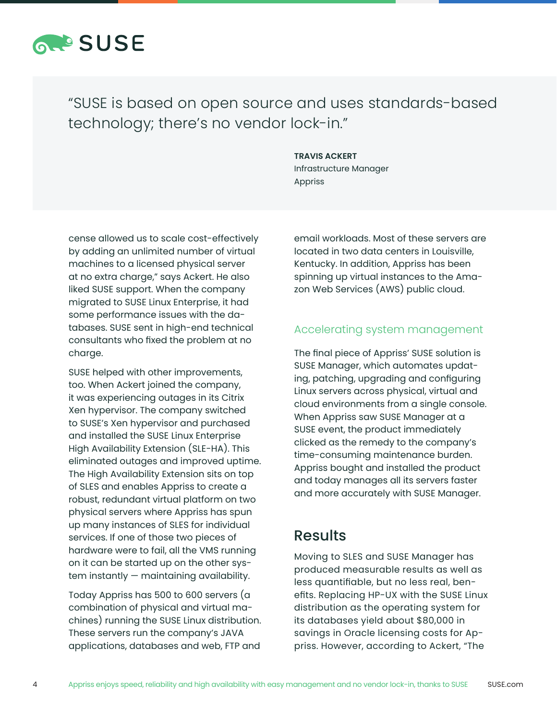

### "SUSE is based on open source and uses standards-based technology; there's no vendor lock-in."

#### **TRAVIS ACKERT**

Infrastructure Manager Appriss

cense allowed us to scale cost-effectively by adding an unlimited number of virtual machines to a licensed physical server at no extra charge," says Ackert. He also liked SUSE support. When the company migrated to SUSE Linux Enterprise, it had some performance issues with the databases. SUSE sent in high-end technical consultants who fixed the problem at no charge.

SUSE helped with other improvements, too. When Ackert joined the company, it was experiencing outages in its Citrix Xen hypervisor. The company switched to SUSE's Xen hypervisor and purchased and installed the SUSE Linux Enterprise High Availability Extension (SLE-HA). This eliminated outages and improved uptime. The High Availability Extension sits on top of SLES and enables Appriss to create a robust, redundant virtual platform on two physical servers where Appriss has spun up many instances of SLES for individual services. If one of those two pieces of hardware were to fail, all the VMS running on it can be started up on the other system instantly — maintaining availability.

Today Appriss has 500 to 600 servers (a combination of physical and virtual machines) running the SUSE Linux distribution. These servers run the company's JAVA applications, databases and web, FTP and

email workloads. Most of these servers are located in two data centers in Louisville, Kentucky. In addition, Appriss has been spinning up virtual instances to the Amazon Web Services (AWS) public cloud.

#### Accelerating system management

The final piece of Appriss' SUSE solution is SUSE Manager, which automates updating, patching, upgrading and configuring Linux servers across physical, virtual and cloud environments from a single console. When Appriss saw SUSE Manager at a SUSE event, the product immediately clicked as the remedy to the company's time-consuming maintenance burden. Appriss bought and installed the product and today manages all its servers faster and more accurately with SUSE Manager.

#### Results

Moving to SLES and SUSE Manager has produced measurable results as well as less quantifiable, but no less real, benefits. Replacing HP-UX with the SUSE Linux distribution as the operating system for its databases yield about \$80,000 in savings in Oracle licensing costs for Appriss. However, according to Ackert, "The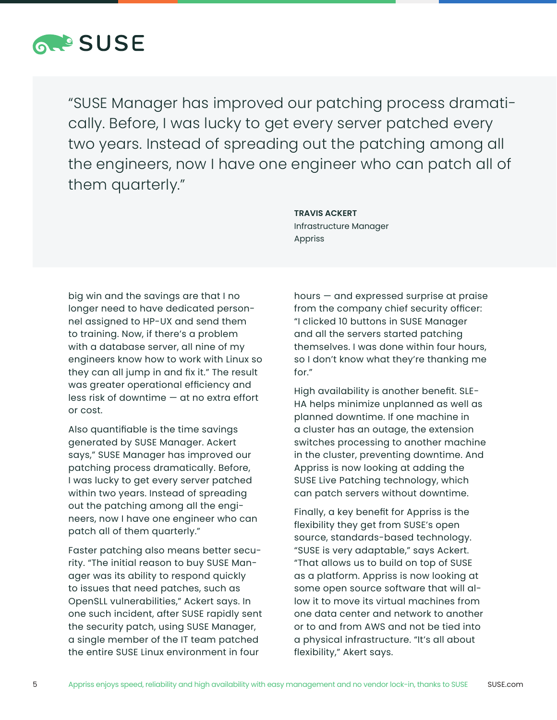

"SUSE Manager has improved our patching process dramatically. Before, I was lucky to get every server patched every two years. Instead of spreading out the patching among all the engineers, now I have one engineer who can patch all of them quarterly."

> Infrastructure Manager Appriss

**TRAVIS ACKERT**

big win and the savings are that I no longer need to have dedicated personnel assigned to HP-UX and send them to training. Now, if there's a problem with a database server, all nine of my engineers know how to work with Linux so they can all jump in and fix it." The result was greater operational efficiency and less risk of downtime — at no extra effort or cost.

Also quantifiable is the time savings generated by SUSE Manager. Ackert says," SUSE Manager has improved our patching process dramatically. Before, I was lucky to get every server patched within two years. Instead of spreading out the patching among all the engineers, now I have one engineer who can patch all of them quarterly."

Faster patching also means better security. "The initial reason to buy SUSE Manager was its ability to respond quickly to issues that need patches, such as OpenSLL vulnerabilities," Ackert says. In one such incident, after SUSE rapidly sent the security patch, using SUSE Manager, a single member of the IT team patched the entire SUSE Linux environment in four

hours — and expressed surprise at praise from the company chief security officer: "I clicked 10 buttons in SUSE Manager and all the servers started patching themselves. I was done within four hours, so I don't know what they're thanking me for."

High availability is another benefit. SLE-HA helps minimize unplanned as well as planned downtime. If one machine in a cluster has an outage, the extension switches processing to another machine in the cluster, preventing downtime. And Appriss is now looking at adding the SUSE Live Patching technology, which can patch servers without downtime.

Finally, a key benefit for Appriss is the flexibility they get from SUSE's open source, standards-based technology. "SUSE is very adaptable," says Ackert. "That allows us to build on top of SUSE as a platform. Appriss is now looking at some open source software that will allow it to move its virtual machines from one data center and network to another or to and from AWS and not be tied into a physical infrastructure. "It's all about flexibility," Akert says.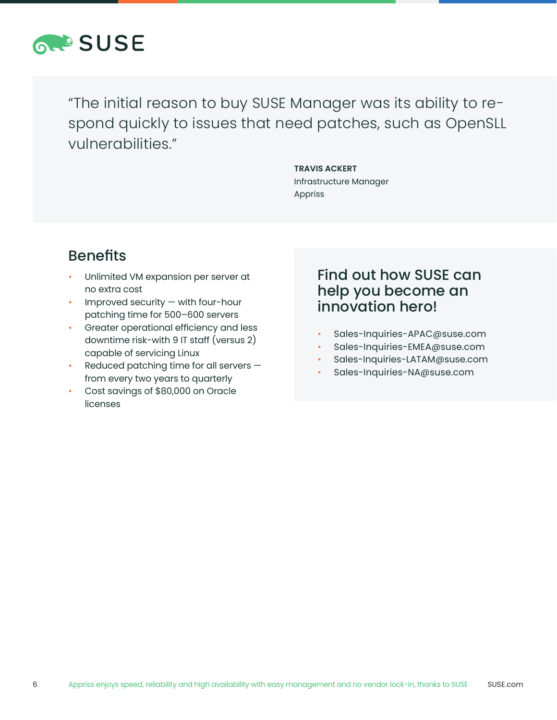

"The initial reason to buy SUSE Manager was its ability to respond quickly to issues that need patches, such as OpenSLL vulnerabilities."

> **TRAVIS ACKERT** Infrastructure Manager Appriss

## Benefits

- Unlimited VM expansion per server at no extra cost
- Improved security  $-$  with four-hour patching time for 500–600 servers
- Greater operational efficiency and less downtime risk-with 9 IT staff (versus 2) capable of servicing Linux
- Reduced patching time for all servers  $$ from every two years to quarterly
- Cost savings of \$80,000 on Oracle licenses

#### Find out how SUSE can help you become an innovation hero!

- Sales-Inquiries-APAC@suse.com
- Sales-Inquiries-EMEA@suse.com
- Sales-Inquiries-LATAM@suse.com
- Sales-Inquiries-NA@suse.com